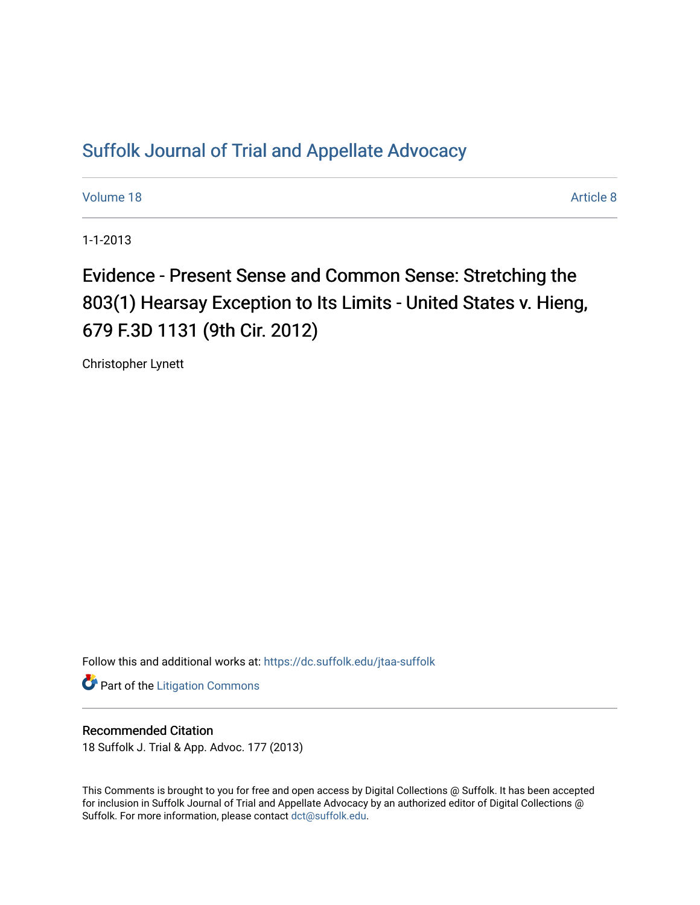## [Suffolk Journal of Trial and Appellate Advocacy](https://dc.suffolk.edu/jtaa-suffolk)

[Volume 18](https://dc.suffolk.edu/jtaa-suffolk/vol18) Article 8

1-1-2013

Evidence - Present Sense and Common Sense: Stretching the 803(1) Hearsay Exception to Its Limits - United States v. Hieng, 679 F.3D 1131 (9th Cir. 2012)

Christopher Lynett

Follow this and additional works at: [https://dc.suffolk.edu/jtaa-suffolk](https://dc.suffolk.edu/jtaa-suffolk?utm_source=dc.suffolk.edu%2Fjtaa-suffolk%2Fvol18%2Fiss1%2F8&utm_medium=PDF&utm_campaign=PDFCoverPages) 

**Part of the [Litigation Commons](http://network.bepress.com/hgg/discipline/910?utm_source=dc.suffolk.edu%2Fjtaa-suffolk%2Fvol18%2Fiss1%2F8&utm_medium=PDF&utm_campaign=PDFCoverPages)** 

## Recommended Citation

18 Suffolk J. Trial & App. Advoc. 177 (2013)

This Comments is brought to you for free and open access by Digital Collections @ Suffolk. It has been accepted for inclusion in Suffolk Journal of Trial and Appellate Advocacy by an authorized editor of Digital Collections @ Suffolk. For more information, please contact [dct@suffolk.edu.](mailto:dct@suffolk.edu)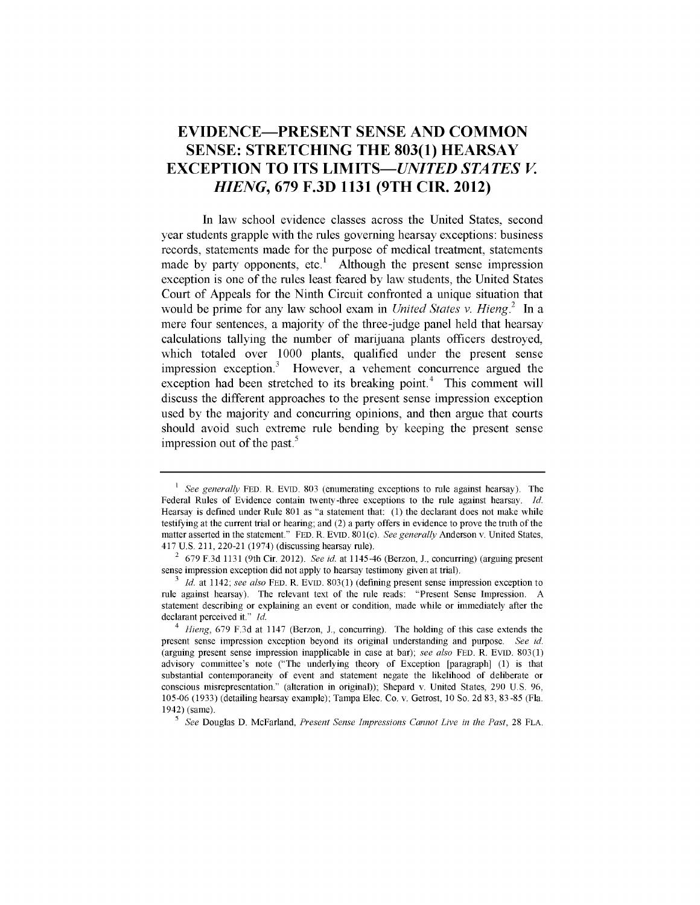## **EVIDENCE-PRESENT SENSE AND COMMON SENSE: STRETCHING THE 803(1) HEARSAY EXCEPTION TO ITS** *LIMITS-UNITED STATES V HIENG,* **679 F.3D 1131 (9TH CIR. 2012)**

In law school evidence classes across the United States, second year students grapple with the rules governing hearsay exceptions: business records, statements made for the purpose of medical treatment, statements made **by** party opponents, etc.' Although the present sense impression exception is one of the rules least feared **by law** students, the United States Court of Appeals for the Ninth Circuit confronted a unique situation that would be prime for any law school exam in *United States v. Hieng.2* In a mere four sentences, a majority of the three-judge panel held that hearsay calculations tallying the number of marijuana plants officers destroyed, which totaled over **1000** plants, qualified under the present sense impression exception.3 However, a vehement concurrence argued the exception had been stretched to its breaking point.<sup>4</sup> This comment will discuss the different approaches to the present sense impression exception used **by** the majority and concurring opinions, and then argue that courts should avoid such extreme rule bending **by** keeping the present sense impression out of the past.<sup>5</sup>

<sup>&</sup>lt;sup>1</sup> *See generally* FED. R. EVID. 803 (enumerating exceptions to rule against hearsay). The Federal Rules of Evidence contain twenty-three exceptions to the rule against hearsay. *Id.* Hearsay is defined under Rule 801 as "a statement that: (1) the declarant does not make while testifying at the current trial or hearing; and (2) a party offers in evidence to prove the truth of the matter asserted in the statement." **FED.** R. **EVID.** 801(C). *See generally* Anderson v. United States, 417 U.S. 211, 220-21 (1974) (discussing hearsay rule).

<sup>2</sup> 679 F.3d 1131 (9th Cir. 2012). *See id.* at 1145-46 (Berzon, **J.,** concurring) (arguing present sense impression exception did not apply to hearsay testimony given at trial).

*<sup>3</sup>Id.* at 1142; *see also* **FED.** R. **EVID.** 803(1) (defining present sense impression exception to rule against hearsay). The relevant text of the rule reads: "Present Sense Impression. A statement describing or explaining an event or condition, made while or immediately after the declarant perceived it." *Id.*

*<sup>4</sup> Hieng,* 679 F.3d at 1147 (Berzon, J., concurring). The holding of this case extends the present sense impression exception beyond its original understanding and purpose. *See id.* (arguing present sense impression inapplicable in case at bar); *see also* **FED.** R. **EVID.** 803(1) advisory committee's note ("The underlying theory of Exception [paragraph] (1) is that substantial contemporaneity of event and statement negate the likelihood of deliberate or conscious misrepresentation." (alteration in original)); Shepard v. United States, 290 U.S. 96, 105-06 (1933) (detailing hearsay example); Tampa Elec. Co. v. Getrost, 10 So. 2d 83, 83-85 (Fla. 1942) (same).

*<sup>5</sup>See* Douglas D. McFarland, *Present Sense Impressions Cannot Live in the Past,* 28 FLA.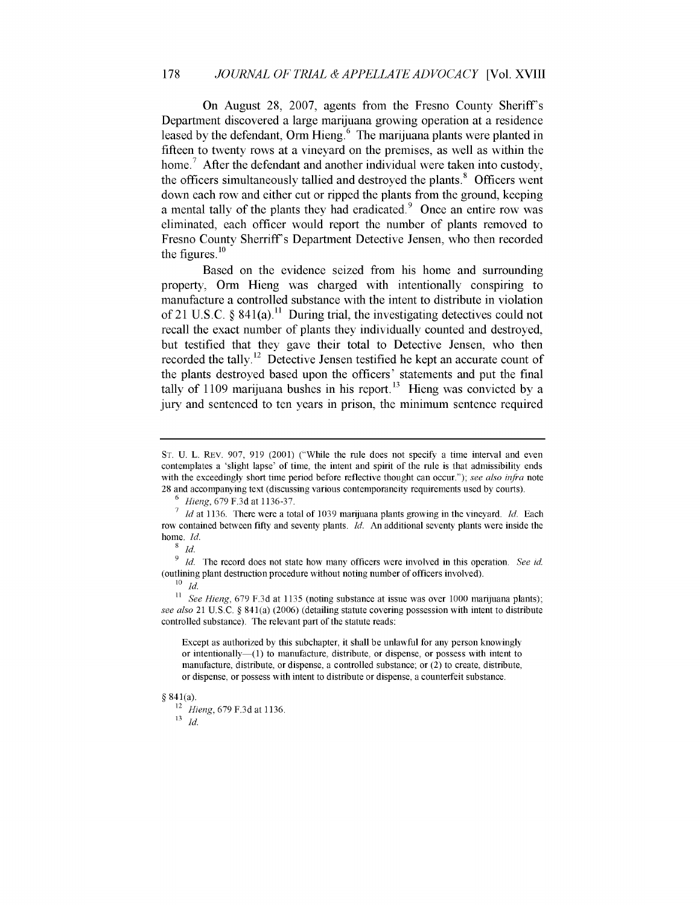On August 28, 2007, agents from the Fresno County Sheriff's Department discovered a large marijuana growing operation at a residence leased by the defendant, Orm Hieng.<sup>6</sup> The marijuana plants were planted in fifteen to twenty rows at a vineyard on the premises, as well as within the home.<sup>7</sup> After the defendant and another individual were taken into custody, the officers simultaneously tallied and destroyed the plants.<sup>8</sup> Officers went down each row and either cut or ripped the plants from the ground, keeping a mental tally of the plants they had eradicated. $9$  Once an entire row was eliminated, each officer would report the number of plants removed to Fresno County Sherriff's Department Detective Jensen, who then recorded the figures. $^{10}$ 

Based on the evidence seized from his home and surrounding property, Orm Hieng was charged with intentionally conspiring to manufacture a controlled substance with the intent to distribute in violation of 21 U.S.C. **§** 841(a)." During trial, the investigating detectives could not recall the exact number of plants they individually counted and destroyed, but testified that they gave their total to Detective Jensen, who then recorded the tally.<sup>12</sup> Detective Jensen testified he kept an accurate count of the plants destroyed based upon the officers' statements and put the final tally of 1109 marijuana bushes in his report.<sup>13</sup> Hieng was convicted by a jury and sentenced to ten years in prison, the minimum sentence required

**8** *Id.*

<sup>9</sup>*Id.* The record does not state how many officers were involved in this operation. *See id.* (outlining plant destruction procedure without noting number of officers involved).

 $^{10}$  *Id.* 

**11** *See Hieng,* 679 F.3d at 1135 (noting substance at issue was over 1000 marijuana plants); *see also* 21 U.S.C. § **841** (a) (2006) (detailing statute covering possession with intent to distribute controlled substance). The relevant part of the statute reads:

Except as authorized by this subchapter, it shall be unlawful for any person knowingly or intentionally— $(1)$  to manufacture, distribute, or dispense, or possess with intent to manufacture, distribute, or dispense, a controlled substance; or (2) to create, distribute, or dispense, or possess with intent to distribute or dispense, a counterfeit substance.

## § 841(a).

12 *Hieng,* 679 F.3d at 1136.  $\begin{array}{cc} & \overleftarrow{\phantom{a}} \\ 13 & Id. \end{array}$ 

**ST.** U. L. REv. 907, 919 (2001) ("While the rule does not specify a time interval and even contemplates a 'slight lapse' of time, the intent and spirit of the rule is that admissibility ends with the exceedingly short time period before reflective thought can occur."); *see also infra* note 28 and accompanying text (discussing various contemporaneity requirements used by courts).

<sup>6</sup>*Hieng,* 679 F.3d at 1136-37.

**<sup>7</sup>***Id* at 1136. There were a total of 1039 marijuana plants growing in the vineyard. *Id.* Each row contained between fifty and seventy plants. *Id.* An additional seventy plants were inside the home. *Id.*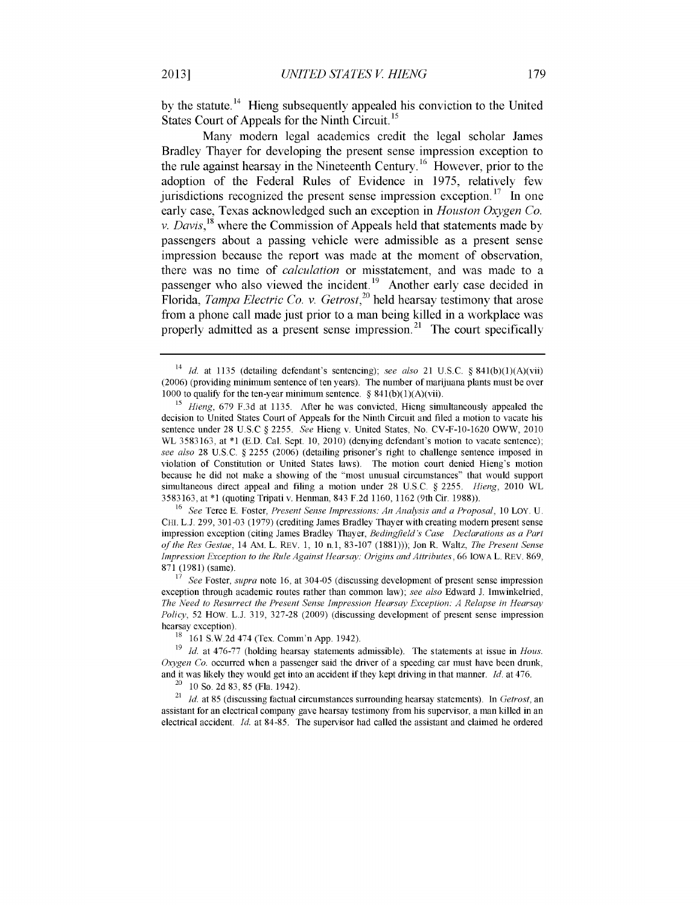by the statute.<sup>14</sup> Hieng subsequently appealed his conviction to the United States Court of Appeals for the Ninth Circuit.<sup>15</sup>

Many modern legal academics credit the legal scholar James Bradley Thayer for developing the present sense impression exception to the rule against hearsay in the Nineteenth Century.<sup>16</sup> However, prior to the adoption of the Federal Rules of Evidence in 1975, relatively few jurisdictions recognized the present sense impression exception.<sup>17</sup> In one early case, Texas acknowledged such an exception in *Houston Oxygen Co. v. Davis*,<sup>18</sup> where the Commission of Appeals held that statements made by passengers about a passing vehicle were admissible as a present sense impression because the report was made at the moment of observation, there was no time of *calculation* or misstatement, and was made to a passenger who also viewed the incident.<sup>19</sup> Another early case decided in Florida, *Tampa Electric Co. v. Getrost,<sup>2</sup><sup>0</sup>*held hearsay testimony that arose from a phone call made just prior to a man being killed in a workplace was properly admitted as a present sense impression.<sup>21</sup> The court specifically

<sup>16</sup>*See* Teree **E.** Foster, *Present Sense Impressions: An Analysis and a Proposal,* 10 LOY. U. CHI. L.J. 299, 301-03 (1979) (crediting James Bradley Thayer with creating modem present sense impression exception (citing James Bradley Thayer, *Bedingfield's Case Declarations as a Part of the Res Gestae,* 14 AM. L. REV. **1,** 10 n.1, 83-107 (1881))); Jon R. Waltz, *The Present Sense Impression Exception to the Rule Against Hearsay: Origins and Attributes,* 66 IOWA L. REV. 869, 871 (1981) (same).

<sup>17</sup>*See* Foster, *supra* note **16,** at 304-05 (discussing development of present sense impression exception through academic routes rather than common law); *see also* Edward J. Imwinkelried, *The Need to Resurrect the Present Sense Impression Hearsay Exception: A Relapse in Hearsay Policy,* 52 HOW. L.J. 319, 327-28 (2009) (discussing development of present sense impression hearsay exception).

<sup>18</sup> 161 S.W.2d 474 (Tex. Comm'n App. 1942).

<sup>19</sup>*Id.* at 476-77 (holding hearsay statements admissible). The statements at issue in *Hous. Oxygen Co.* occurred when a passenger said the driver of a speeding car must have been drunk, and it was likely they would get into an accident if they kept driving in that manner. *Id.* at 476.

<sup>20</sup>10 So. 2d **83,** 85 (Fla. 1942).

<sup>21</sup>*Id.* at 85 (discussing factual circumstances surrounding hearsay statements). In *Getrost,* an assistant for an electrical company gave hearsay testimony from his supervisor, a man killed in an electrical accident. *Id.* at 84-85. The supervisor had called the assistant and claimed he ordered

**2013]**

<sup>&</sup>lt;sup>14</sup> *Id.* at 1135 (detailing defendant's sentencing); see also 21 U.S.C. § 841(b)(1)(A)(vii) (2006) (providing minimum sentence of ten years). The number of marijuana plants must be over 1000 to qualify for the ten-year minimum sentence. §  $841(b)(1)(A)(vi)$ .

<sup>15</sup>*Hieng,* 679 F.3d at 1135. After he was convicted, Hieng simultaneously appealed the decision to United States Court of Appeals for the Ninth Circuit and filed a motion to vacate his sentence under 28 U.S.C § 2255. *See* Hieng v. United States, No. CV-F-10-1620 OWW, 2010 WL 3583163, at \*1 **(ED.** Cal. Sept. **10,** 2010) (denying defendant's motion to vacate sentence); *see also* 28 U.S.C. § 2255 (2006) (detailing prisoner's right to challenge sentence imposed in violation of Constitution or United States laws). The motion court denied Hieng's motion because he did not make a showing of the "most unusual circumstances" that would support simultaneous direct appeal and filing a motion under 28 U.S.C. § 2255. *Hieng,* 2010 WL 3583163, at \*1 (quoting Tripati v. Henman, 843 F.2d 1160, 1162 (9th Cir. 1988)).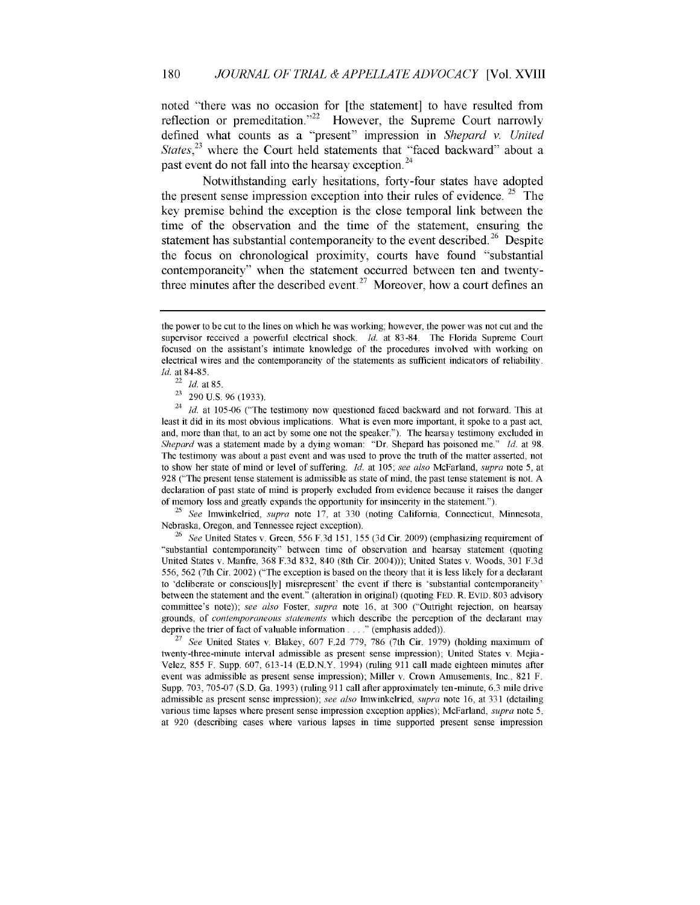noted "there was no occasion for [the statement] to have resulted from reflection or premeditation."<sup>22</sup> However, the Supreme Court narrowly defined what counts as a "present" impression in *Shepard* v. *United* States, $^{23}$  where the Court held statements that "faced backward" about a past event do not fall into the hearsay exception.<sup>24</sup>

Notwithstanding early hesitations, forty-four states have adopted the present sense impression exception into their rules of evidence.  $25$  The key premise behind the exception is the close temporal link between the time of the observation and the time of the statement, ensuring the statement has substantial contemporaneity to the event described.<sup>26</sup> Despite the focus on chronological proximity, courts have found "substantial contemporaneity" when the statement occurred between ten and twentythree minutes after the described event.<sup>27</sup> Moreover, how a court defines an

<sup>25</sup>*See* Imwinkelried, *supra* note 17, at 330 (noting California, Connecticut, Minnesota, Nebraska, Oregon, and Tennessee reject exception).

<sup>26</sup>*See* United States v. Green, 556 F.3d 151, 155 (3d Cir. 2009) (emphasizing requirement of "substantial contemporaneity" between time of observation and hearsay statement (quoting United States v. Manfre, **368** F.3d 832, 840 (8th Cir. 2004))); United States v. Woods, **301 F.3d** 556, 562 (7th Cir. 2002) ("The exception is based on the theory that it is less likely for a declarant to 'deliberate or conscious[ly] misrepresent' the event if there is 'substantial contemporaneity' between the statement and the event." (alteration in original) (quoting FED. R. EVID. 803 advisory committee's note)); *see also* Foster, *supra* note 16, at 300 ("Outright rejection, on hearsay grounds, of *contemporaneous statements* which describe the perception of the declarant may deprive the trier of fact of valuable information **.. "** (emphasis added)).

<sup>27</sup>*See* United States v. Blakey, 607 F.2d 779, 786 (7th Cir. 1979) (holding maximum of twenty-three-minute interval admissible as present sense impression); United States v. Mejia-Velez, 855 F. Supp. 607, 613-14 (E.D.N.Y. 1994) (ruling 911 call made eighteen minutes after event was admissible as present sense impression); Miller v. Crown Amusements, Inc., 821 F. Supp. 703, 705-07 (S.D. Ga. 1993) (ruling 911 call after approximately ten-minute, 6.3 mile drive admissible as present sense impression); *see also* Imwinkelried, *supra* note 16, at 331 (detailing various time lapses where present sense impression exception applies); McFarland, *supra* note 5, at 920 (describing cases where various lapses in time supported present sense impression

the power to be cut to the lines on which he was working; however, the power was not cut and the supervisor received a powerful electrical shock. *Id.* at 83-84. The Florida Supreme Court focused on the assistant's intimate knowledge of the procedures involved with working on electrical wires and the contemporaneity of the statements as sufficient indicators of reliability. *Id.* at 84-85.

<sup>22</sup>*Id.* at 85.

 $23$  290 U.S. 96 (1933).

<sup>&</sup>lt;sup>24</sup> *Id.* at 105-06 ("The testimony now questioned faced backward and not forward. This at least it did in its most obvious implications. What is even more important, it spoke to a past act, and, more than that, to an act by some one not the speaker."). The hearsay testimony excluded in *Shepard* was a statement made by a dying woman: "Dr. Shepard has poisoned me." *Id.* at 98. The testimony was about a past event and was used to prove the truth of the matter asserted, not to show her state of mind or level of suffering. *Id.* at 105; see also McFarland, *supra* note 5, at 928 ("The present tense statement is admissible as state of mind, the past tense statement is not. A declaration of past state of mind is properly excluded from evidence because it raises the danger of memory loss and greatly expands the opportunity for insincerity in the statement.").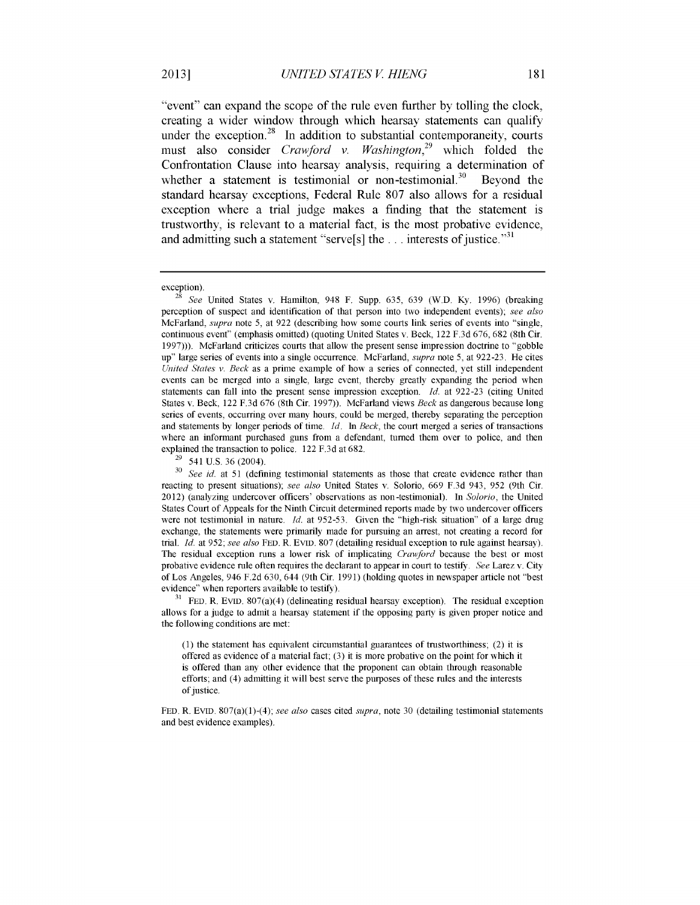"event" can expand the scope of the rule even further by tolling the clock, creating a wider window through which hearsay statements can qualify under the exception.<sup>28</sup> In addition to substantial contemporaneity, courts must also consider *Crawford v. Washington*<sup>29</sup> which folded the Confrontation Clause into hearsay analysis, requiring a determination of whether a statement is testimonial or non-testimonial.<sup>30</sup> Beyond the standard hearsay exceptions, Federal Rule 807 also allows for a residual exception where a trial judge makes a finding that the statement is trustworthy, is relevant to a material fact, is the most probative evidence, and admitting such a statement "serve<sup>[s]</sup> the ... interests of justice.<sup>331</sup>

**31 FED.** R. EVID. 807(a)(4) (delineating residual hearsay exception). The residual exception allows for a judge to admit a hearsay statement if the opposing party is given proper notice and the following conditions are met:

(1) the statement has equivalent circumstantial guarantees of trustworthiness; (2) it is offered as evidence of a material fact; (3) it is more probative on the point for which it is offered than any other evidence that the proponent can obtain through reasonable efforts; and (4) admitting it will best serve the purposes of these rules and the interests of justice.

FED. R. EVID. 807(a)(1)-(4); *see also* cases cited *supra,* note 30 (detailing testimonial statements and best evidence examples).

exception).

**<sup>28</sup>***See* United States v. Hamilton, 948 F. Supp. 635, 639 (W.D. Ky. 1996) (breaking perception of suspect and identification of that person into two independent events); *see also* McFarland, *supra* note 5, at 922 (describing how some courts link series of events into "single, continuous event" (emphasis omitted) (quoting United States v. Beck, 122 F.3d 676, 682 (8th Cir. 1997))). McFarland criticizes courts that allow the present sense impression doctrine to "gobble up" large series of events into a single occurrence. McFarland, *supra* note 5, at 922-23. He cites *United States v. Beck* as a prime example of how a series of connected, yet still independent events can be merged into a single, large event, thereby greatly expanding the period when statements can fall into the present sense impression exception. *Id.* at 922-23 (citing United States v. Beck, 122 F.3d 676 (8th Cir. 1997)). McFarland views *Beck* as dangerous because long series of events, occurring over many hours, could be merged, thereby separating the perception and statements by longer periods of time. *Id. In Beck,* the court merged a series of transactions where an informant purchased guns from a defendant, turned them over to police, and then explained the transaction to police. 122 F.3d at 682.

**<sup>29</sup>**541 U.S. 36 (2004).

**<sup>30</sup>***See id.* at 51 (defining testimonial statements as those that create evidence rather than reacting to present situations); *see also* United States v. Solorio, 669 F.3d 943, 952 (9th Cir. 2012) (analyzing undercover officers' observations as non-testimonial). In *Solorio,* the United States Court of Appeals for the Ninth Circuit determined reports made by two undercover officers were not testimonial in nature. *Id.* at 952-53. Given the "high-risk situation" of a large drug exchange, the statements were primarily made for pursuing an arrest, not creating a record for trial. *Id.* at 952; *see also* FED. R. EVID. 807 (detailing residual exception to rule against hearsay). The residual exception runs a lower risk of implicating *Crawford* because the best or most probative evidence rule often requires the declarant to appear in court to testify. *See* Larez v. City of Los Angeles, 946 F.2d 630, 644 (9th Cir. 1991) (holding quotes in newspaper article not "best evidence" when reporters available to testify).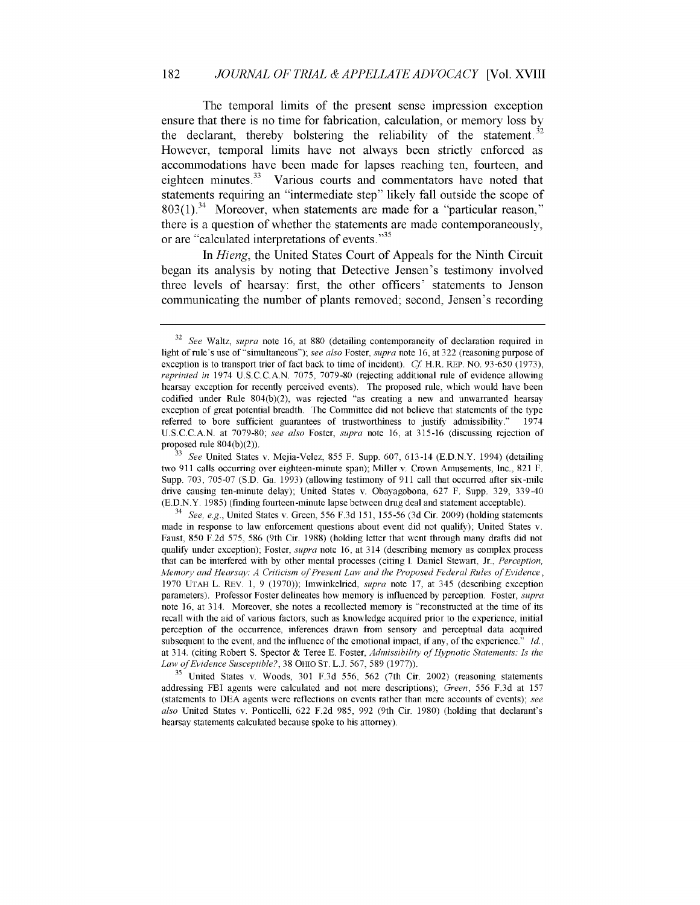The temporal limits of the present sense impression exception ensure that there is no time for fabrication, calculation, or memory loss by the declarant, thereby bolstering the reliability of the statement.<sup>32</sup> However, temporal limits have not always been strictly enforced as accommodations have been made for lapses reaching ten, fourteen, and eighteen minutes.<sup>33</sup> Various courts and commentators have noted that statements requiring an "intermediate step" likely fall outside the scope of  $803(1).$ <sup>34</sup> Moreover, when statements are made for a "particular reason," there is a question of whether the statements are made contemporaneously, or are "calculated interpretations of events."<sup>35</sup>

In *Hieng,* the United States Court of Appeals for the Ninth Circuit began its analysis by noting that Detective Jensen's testimony involved three levels of hearsay: first, the other officers' statements to Jenson communicating the number of plants removed; second, Jensen's recording

<sup>35</sup> United States v. Woods, 301 F.3d 556, 562 (7th Cir. 2002) (reasoning statements addressing FBI agents were calculated and not mere descriptions); *Green,* 556 F.3d at 157 (statements to DEA agents were reflections on events rather than mere accounts of events); *see also* United States v. Ponticelli, 622 F.2d 985, 992 (9th Cir. 1980) (holding that declarant's hearsay statements calculated because spoke to his attorney).

<sup>32</sup>*See* Waltz, *supra* note 16, at 880 (detailing contemporaneity of declaration required in light of rule's use of "simultaneous"); *see also* Foster, *supra* note 16, at 322 (reasoning purpose of exception is to transport trier of fact back to time of incident). *Cf* H.R. REP. NO. 93-650 (1973), *reprinted in* 1974 U.S.C.C.A.N. 7075, 7079-80 (rejecting additional rule of evidence allowing hearsay exception for recently perceived events). The proposed rule, which would have been codified under Rule 804(b)(2), was rejected "as creating a new and unwarranted hearsay exception of great potential breadth. The Committee did not believe that statements of the type referred to bore sufficient guarantees of trustworthiness to justify admissibility." 1974 U.S.C.C.A.N. at 7079-80; *see also* Foster, *supra* note 16, at 315-16 (discussing rejection of proposed rule 804(b)(2)).

**<sup>33</sup>***See* United States v. Mejia-Velez, 855 F. Supp. 607, 613-14 (E.D.N.Y. 1994) (detailing two 911 calls occurring over eighteen-minute span); Miller v. Crown Amusements, Inc., 821 F. Supp. 703, 705-07 (S.D. Ga. 1993) (allowing testimony of 911 call that occurred after six-mile drive causing ten-minute delay); United States v. Obayagobona, 627 F. Supp. 329, 339-40 **(E.D.N.Y.** 1985) (finding fourteen-minute lapse between drug deal and statement acceptable).

<sup>34</sup>*See, e.g.,* United States v. Green, 556 F.3d 151, 155-56 (3d Cir. 2009) (holding statements made in response to law enforcement questions about event did not qualify); United States v. Faust, 850 F.2d 575, 586 (9th Cir. 1988) (holding letter that went through many drafts did not qualify under exception); Foster, *supra* note 16, at 314 (describing memory as complex process that can be interfered with **by** other mental processes (citing I. Daniel Stewart, Jr., *Perception, Allemory and Hearsay: A Criticism of Present Law and the Proposed Federal Rules of Evidence,* 1970 UTAH L. REV. 1, 9 (1970)); Imwinkelried, *supra* note 17, at 345 (describing exception parameters). Professor Foster delineates how memory is influenced by perception. Foster, *supra* note 16, at 314. Moreover, she notes a recollected memory is "reconstructed at the time of its recall with the aid of various factors, such as knowledge acquired prior to the experience, initial perception of the occurrence, inferences drawn from sensory and perceptual data acquired subsequent to the event, and the influence of the emotional impact, if any, of the experience." *Id.,* at 314. (citing Robert S. Spector & Teree **E.** Foster, *Admissibility of Hypnotic Statements: Is the Law of Evidence Susceptible?,* 38 OHIO **ST.** L.J. 567, 589 (1977)).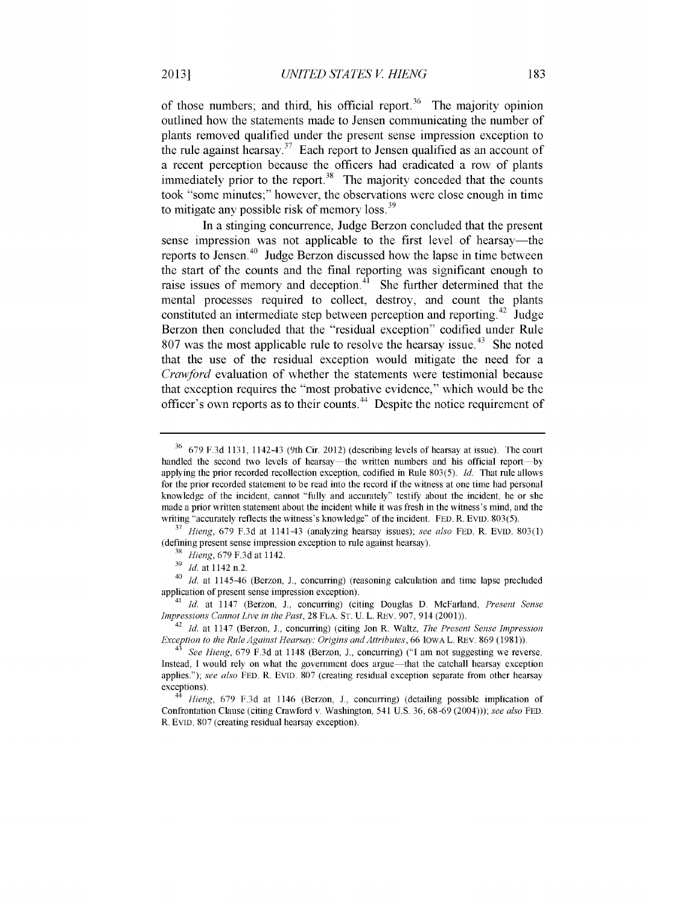of those numbers; and third, his official report.<sup>36</sup> The majority opinion outlined how the statements made to Jensen communicating the number of plants removed qualified under the present sense impression exception to the rule against hearsay.<sup>37</sup> Each report to Jensen qualified as an account of a recent perception because the officers had eradicated a row of plants immediately prior to the report. $38$  The majority conceded that the counts took "some minutes;" however, the observations were close enough in time to mitigate any possible risk of memory loss.<sup>39</sup>

In a stinging concurrence, Judge Berzon concluded that the present sense impression was not applicable to the first level of hearsay—the reports to Jensen. $40$  Judge Berzon discussed how the lapse in time between the start of the counts and the final reporting was significant enough to raise issues of memory and deception. $^{41}$  She further determined that the mental processes required to collect, destroy, and count the plants constituted an intermediate step between perception and reporting.<sup>42</sup> Judge Berzon then concluded that the "residual exception" codified under Rule 807 was the most applicable rule to resolve the hearsay issue.<sup>43</sup> She noted that the use of the residual exception would mitigate the need for a *Crawford* evaluation of whether the statements were testimonial because that exception requires the "most probative evidence," which would be the officer's own reports as to their counts.44 Despite the notice requirement of

<sup>36</sup> 679 F.3d 1131, 1142-43 (9th Cir. 2012) (describing levels of hearsay at issue). The court handled the second two levels of hearsay—the written numbers and his official report—by applying the prior recorded recollection exception, codified in Rule 803(5). *Id.* That rule allows for the prior recorded statement to be read into the record if the witness at one time had personal knowledge of the incident, cannot "fully and accurately" testify about the incident, he or she made a prior written statement about the incident while it was fresh in the witness's mind, and the writing "accurately reflects the witness's knowledge" of the incident. FED. R. **EVID.** 803(5).

**<sup>37</sup>***Hieng,* 679 F.3d at 1141-43 (analyzing hearsay issues); *see also* FED. R. EVID. 803(1) (defining present sense impression exception to rule against hearsay).

**<sup>38</sup>** *Hieng,* 679 F.3d at 1142.

**<sup>39</sup>** *Id.* at 1142 n.2.

<sup>40</sup>*Id.* at 1145-46 (Berzon, J., concurring) (reasoning calculation and time lapse precluded application of present sense impression exception).

<sup>41</sup>*Id.* at 1147 (Berzon, J., concurring) (citing Douglas D. McFarland, *Present Sense Impressions Cannot Live in the Past,* 28 FLA. ST. U. L. REV. 907, 914 (2001)).

<sup>42</sup> *Id.* at 1147 (Berzon, J., concurring) (citing Jon R. Waltz, *The Present Sense Impression Exception to the Rule Against Hearsay: Origins and Attributes,* 66 IOWAL. REV. 869 (1981)).

<sup>43</sup>*See Hieng,* 679 F.3d at 1148 (Berzon, J., concurring) **("I** am not suggesting we reverse. Instead, I would rely on what the government does argue—that the catchall hearsay exception applies."); *see also* FED. R. EVID. 807 (creating residual exception separate from other hearsay exceptions).

<sup>44</sup>*Hieng,* 679 F.3d at 1146 (Berzon, **J.,** concurring) (detailing possible implication of Confrontation Clause (citing Crawford v. Washington, 541 U.S. 36, 68-69 (2004))); *see also* **FED.** R. **EVID.** 807 (creating residual hearsay exception).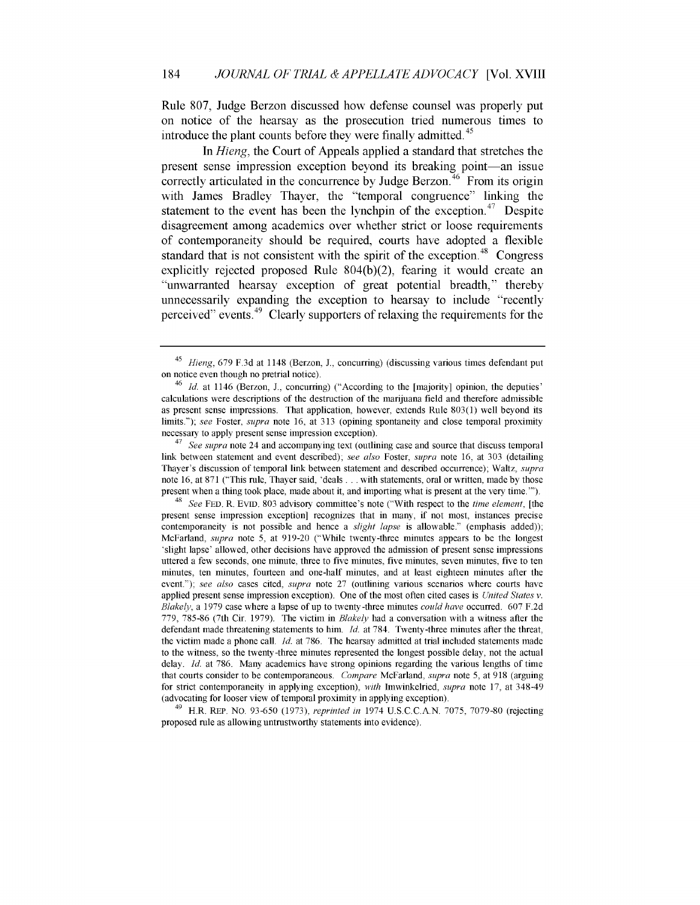Rule 807, Judge Berzon discussed how defense counsel was properly put on notice of the hearsay as the prosecution tried numerous times to introduce the plant counts before they were finally admitted.<sup>45</sup>

In *Hieng,* the Court of Appeals applied a standard that stretches the present sense impression exception beyond its breaking point-an issue correctly articulated in the concurrence by Judge Berzon.<sup>46</sup> From its origin with James Bradley Thayer, the "temporal congruence" linking the statement to the event has been the lynchpin of the exception.<sup>47</sup> Despite disagreement among academics over whether strict or loose requirements of contemporaneity should be required, courts have adopted a flexible standard that is not consistent with the spirit of the exception.<sup>48</sup> Congress explicitly rejected proposed Rule 804(b)(2), fearing it would create an "unwarranted hearsay exception of great potential breadth," thereby unnecessarily expanding the exception to hearsay to include "recently perceived" events.<sup>49</sup> Clearly supporters of relaxing the requirements for the

*<sup>47</sup>See supra* note 24 and accompanying text (outlining case and source that discuss temporal link between statement and event described); *see also* Foster, *supra* note 16, at 303 (detailing Thayer's discussion of temporal link between statement and described occurrence); Waltz, *supra* note 16, at 871 ("This rule, Thayer said, 'deals ... with statements, oral or written, made by those present when a thing took place, made about it, and importing what is present at the very time."').

<sup>48</sup>*See* FED. R. EVID. 803 advisory committee's note ("With respect to the *time element,* [the present sense impression exception] recognizes that in many, if not most, instances precise contemporaneity is not possible and hence a *slight lapse* is allowable." (emphasis added)); McFarland, *supra* note 5, at 919-20 ("While twenty-three minutes appears to be the longest 'slight lapse' allowed, other decisions have approved the admission of present sense impressions uttered a few seconds, one minute, three to five minutes, five minutes, seven minutes, five to ten minutes, ten minutes, fourteen and one-half minutes, and at least eighteen minutes after the event."); *see also* cases cited, *supra* note 27 (outlining various scenarios where courts have applied present sense impression exception). One of the most often cited cases is *United States v. Blakely,* a 1979 case where a lapse of up to twenty-three minutes *could have* occurred. 607 F.2d 779, 785-86 (7th Cir. 1979). The victim in *Blakely* had a conversation with a witness after the defendant made threatening statements to him. *Id.* at 784. Twenty-three minutes after the threat, the victim made a phone call. *Id.* at 786. The hearsay admitted at trial included statements made to the witness, so the twenty-three minutes represented the longest possible delay, not the actual delay. *Id.* at 786. Many academics have strong opinions regarding the various lengths of time that courts consider to be contemporaneous. *Compare* McFarland, *supra* note 5, at 918 (arguing for strict contemporaneity in applying exception), *with* Imwinkelried, *supra* note 17, at 348-49 (advocating for looser view of temporal proximity in applying exception).

49 H.R. REP. NO. 93-650 (1973), *reprinted in* 1974 U.S.C.C.A.N. 7075, 7079-80 (rejecting proposed rule as allowing untrustworthy statements into evidence).

*<sup>45</sup>Hieng,* 679 F.3d at 1148 (Berzon, J., concurring) (discussing various times defendant put on notice even though no pretrial notice).

<sup>&</sup>lt;sup>46</sup> *Id.* at 1146 (Berzon, J., concurring) ("According to the [majority] opinion, the deputies' calculations were descriptions of the destruction of the marijuana field and therefore admissible as present sense impressions. That application, however, extends Rule 803(1) well beyond its limits."); *see* Foster, *supra* note 16, at 313 (opining spontaneity and close temporal proximity necessary to apply present sense impression exception).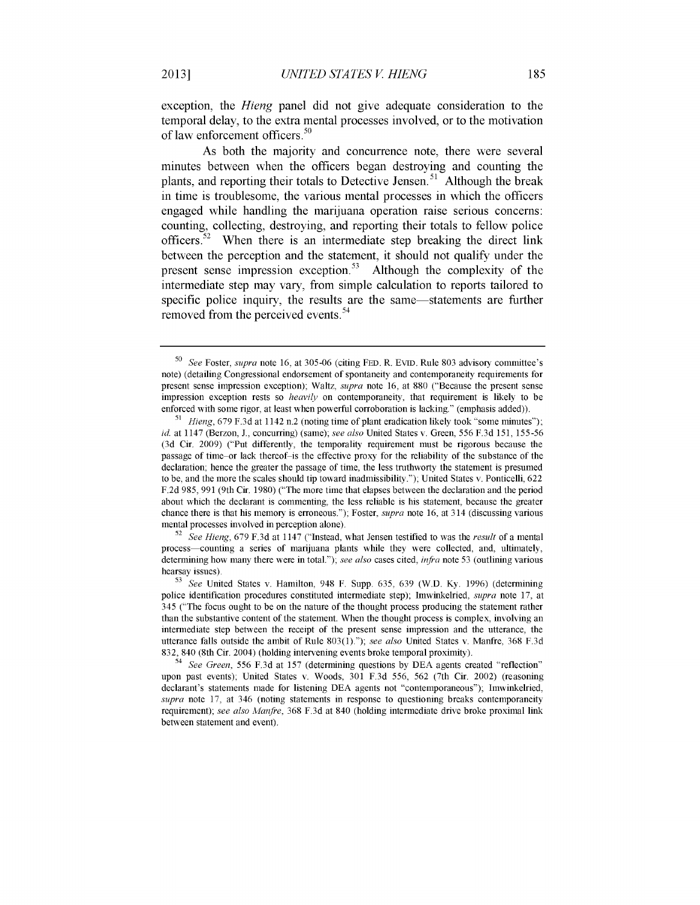exception, the *Hieng* panel did not give adequate consideration to the temporal delay, to the extra mental processes involved, or to the motivation of law enforcement officers.<sup>50</sup>

As both the majority and concurrence note, there were several minutes between when the officers began destroying and counting the plants, and reporting their totals to Detective Jensen.<sup>51</sup> Although the break in time is troublesome, the various mental processes in which the officers engaged while handling the marijuana operation raise serious concerns: counting, collecting, destroying, and reporting their totals to fellow police officers.<sup>52</sup> When there is an intermediate step breaking the direct link between the perception and the statement, it should not qualify under the present sense impression exception.<sup>53</sup> Although the complexity of the intermediate step may vary, from simple calculation to reports tailored to specific police inquiry, the results are the same—statements are further removed from the perceived events.<sup>54</sup>

<sup>52</sup>*See Hieng,* 679 F.3d at 1147 ("Instead, what Jensen testified to was the *result* of a mental process—counting a series of marijuana plants while they were collected, and, ultimately, determining how many there were in total."); see also cases cited, *infra* note 53 (outlining various hearsay issues).

**<sup>50</sup>***See* Foster, *supra* note 16, at 305-06 (citing FED. R. EVID. Rule 803 advisory committee's note) (detailing Congressional endorsement of spontaneity and contemporaneity requirements for present sense impression exception); Waltz, *supra* note 16, at 880 ("Because the present sense impression exception rests so *heavily* on contemporaneity, that requirement is likely to be enforced with some rigor, at least when powerful corroboration is lacking." (emphasis added)).

<sup>&</sup>lt;sup>51</sup> Hieng, 679 F.3d at 1142 n.2 (noting time of plant eradication likely took "some minutes"); *id.* at 1147 (Berzon, J., concurring) (same); *see also* United States v. Green, 556 F.3d 151, 155-56 (3d Cir. 2009) ("Put differently, the temporality requirement must be rigorous because the passage of time or lack thereof is the effective proxy for the reliability of the substance of the declaration; hence the greater the passage of time, the less truthworty the statement is presumed to be, and the more the scales should tip toward inadmissibility."); United States v. Ponticelli, 622 F.2d 985, 991 (9th Cir. 1980) ("The more time that elapses between the declaration and the period about which the declarant is commenting, the less reliable is his statement, because the greater chance there is that his memory is erroneous."); Foster, *supra* note 16, at 314 (discussing various mental processes involved in perception alone).

**<sup>53</sup>***See* United States v. Hamilton, 948 F. Supp. 635, 639 (W.D. Ky. 1996) (determining police identification procedures constituted intermediate step); Imwinkelried, *supra* note 17, at 345 ("The focus ought to be on the nature of the thought process producing the statement rather than the substantive content of the statement. When the thought process is complex, involving an intermediate step between the receipt of the present sense impression and the utterance, the utterance falls outside the ambit of Rule 803(1)."); *see also* United States v. Manfre, 368 F.3d 832, 840 (8th Cir. 2004) (holding intervening events broke temporal proximity).

<sup>54</sup>*See Green,* 556 F.3d at 157 (determining questions by DEA agents created "reflection" upon past events); United States v. Woods, 301 F.3d 556, 562 (7th Cir. 2002) (reasoning declarant's statements made for listening DEA agents not "contemporaneous"); Imwinkelried, *supra* note **17,** at 346 (noting statements in response to questioning breaks contemporaneity requirement); *see also Alanfre,* 368 F.3d at 840 (holding intermediate drive broke proximal link between statement and event).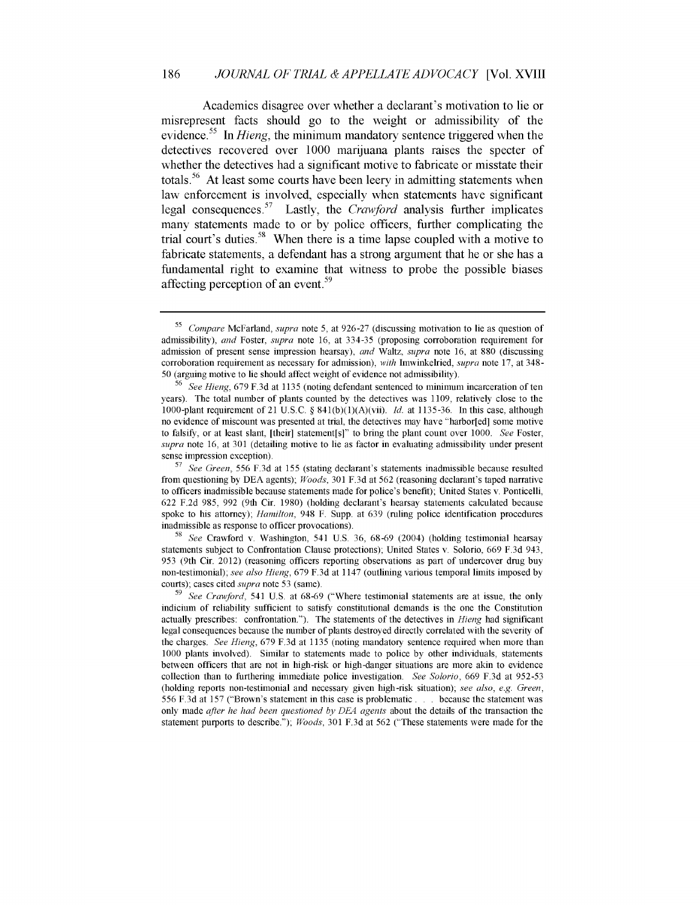Academics disagree over whether a declarant's motivation to lie or misrepresent facts should go to the weight or admissibility of the evidence.<sup>55</sup> In *Hieng*, the minimum mandatory sentence triggered when the detectives recovered over **1000** marijuana plants raises the specter of whether the detectives had a significant motive to fabricate or misstate their totals.<sup>56</sup> At least some courts have been leery in admitting statements when law enforcement is involved, especially when statements have significant legal consequences.57 Lastly, the *Crawford* analysis further implicates many statements made to or by police officers, further complicating the trial court's duties.<sup>58</sup> When there is a time lapse coupled with a motive to fabricate statements, a defendant has a strong argument that he or she has a fundamental right to examine that witness to probe the possible biases affecting perception of an event.<sup>59</sup>

*<sup>55</sup>Compare* McFarland, *supra* note 5, at 926-27 (discussing motivation to lie as question of admissibility), *and* Foster, *supra* note 16, at 334-35 (proposing corroboration requirement for admission of present sense impression hearsay), *and* Waltz, *supra* note 16, at 880 (discussing corroboration requirement as necessary for admission), *with* Imwinkelried, *supra* note 17, at 348- 50 (arguing motive to lie should affect weight of evidence not admissibility).

 $5^6$  *See Hieng*, 679 F.3d at 1135 (noting defendant sentenced to minimum incarceration of ten years). The total number of plants counted by the detectives was 1109, relatively close to the 1000-plant requirement of 21 U.S.C. § 841(b)(1)(A)(vii). *Id.* at 1135-36. In this case, although no evidence of miscount was presented at trial, the detectives may have "harbor[ed] some motive to falsify, or at least slant, [their] statement[s]" to bring the plant count over 1000. *See* Foster, *supra* note 16, at 301 (detailing motive to lie as factor in evaluating admissibility under present sense impression exception).

**<sup>57</sup>***See Green,* 556 F.3d at 155 (stating declarant's statements inadmissible because resulted from questioning by DEA agents); *Woods,* 301 F.3d at 562 (reasoning declarant's taped narrative to officers inadmissible because statements made for police's benefit); United States v. Ponticelli, 622 F.2d 985, 992 (9th Cir. 1980) (holding declarant's hearsay statements calculated because spoke to his attorney); *Hamilton,* 948 F. Supp. at 639 (ruling police identification procedures inadmissible as response to officer provocations).

<sup>58</sup>*See* Crawford v. Washington, 541 U.S. 36, 68-69 (2004) (holding testimonial hearsay statements subject to Confrontation Clause protections); United States v. Solorio, 669 F.3d 943, **953** (9th Cir. 2012) (reasoning officers reporting observations as part of undercover drug buy non-testimonial); *see also Hieng,* 679 F.3d at 1147 (outlining various temporal limits imposed by courts); cases cited *supra* note 53 (same).

**<sup>59</sup>***See Crawford,* 541 U.S. at 68-69 ("Where testimonial statements are at issue, the only indicium of reliability sufficient to satisfy constitutional demands is the one the Constitution actually prescribes: confrontation."). The statements of the detectives in *Hieng* had significant legal consequences because the number of plants destroyed directly correlated with the severity of the charges. *See Hieng,* 679 F.3d at 1135 (noting mandatory sentence required when more than 1000 plants involved). Similar to statements made to police by other individuals, statements between officers that are not in high-risk or high-danger situations are more akin to evidence collection than to furthering immediate police investigation. *See Solorio,* 669 F.3d at 952-53 (holding reports non-testimonial and necessary given high-risk situation); *see also, e.g. Green,* 556 F.3d at 157 ("Brown's statement in this case is problematic **...** because the statement was only made *after he had been questioned by DEA agents* about the details of the transaction the statement purports to describe."); *Woods,* 301 F.3d at 562 ("These statements were made for the